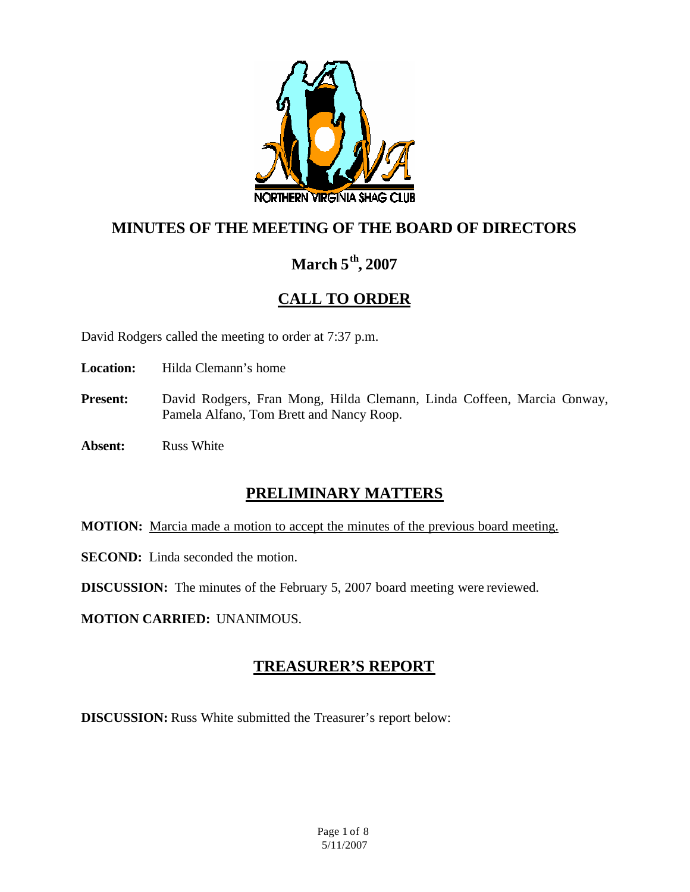

# **MINUTES OF THE MEETING OF THE BOARD OF DIRECTORS**

# **March 5th, 2007**

# **CALL TO ORDER**

David Rodgers called the meeting to order at 7:37 p.m.

**Location:** Hilda Clemann's home

- Present: David Rodgers, Fran Mong, Hilda Clemann, Linda Coffeen, Marcia Conway, Pamela Alfano, Tom Brett and Nancy Roop.
- **Absent:** Russ White

## **PRELIMINARY MATTERS**

**MOTION:** Marcia made a motion to accept the minutes of the previous board meeting.

**SECOND:** Linda seconded the motion.

**DISCUSSION:** The minutes of the February 5, 2007 board meeting were reviewed.

**MOTION CARRIED:** UNANIMOUS.

## **TREASURER'S REPORT**

**DISCUSSION:** Russ White submitted the Treasurer's report below: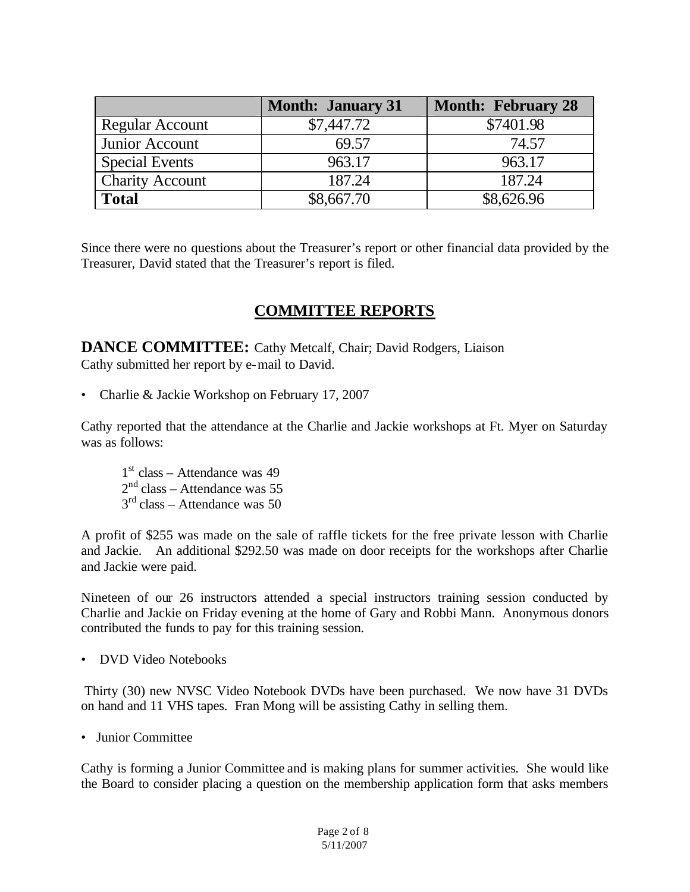|                        | <b>Month: January 31</b> | <b>Month: February 28</b> |
|------------------------|--------------------------|---------------------------|
| <b>Regular Account</b> | \$7,447.72               | \$7401.98                 |
| Junior Account         | 69.57                    | 74.57                     |
| <b>Special Events</b>  | 963.17                   | 963.17                    |
| <b>Charity Account</b> | 187.24                   | 187.24                    |
| <b>Total</b>           | \$8,667.70               | \$8,626.96                |

Since there were no questions about the Treasurer's report or other financial data provided by the Treasurer, David stated that the Treasurer's report is filed.

## **COMMITTEE REPORTS**

**DANCE COMMITTEE:** Cathy Metcalf, Chair; David Rodgers, Liaison Cathy submitted her report by e-mail to David.

• Charlie & Jackie Workshop on February 17, 2007

Cathy reported that the attendance at the Charlie and Jackie workshops at Ft. Myer on Saturday was as follows:

1 st class – Attendance was 49  $2<sup>nd</sup> class - Attendance was 55$  $3<sup>rd</sup>$  class – Attendance was 50

A profit of \$255 was made on the sale of raffle tickets for the free private lesson with Charlie and Jackie. An additional \$292.50 was made on door receipts for the workshops after Charlie and Jackie were paid.

Nineteen of our 26 instructors attended a special instructors training session conducted by Charlie and Jackie on Friday evening at the home of Gary and Robbi Mann. Anonymous donors contributed the funds to pay for this training session.

• DVD Video Notebooks

Thirty (30) new NVSC Video Notebook DVDs have been purchased. We now have 31 DVDs on hand and 11 VHS tapes. Fran Mong will be assisting Cathy in selling them.

• Junior Committee

Cathy is forming a Junior Committee and is making plans for summer activities. She would like the Board to consider placing a question on the membership application form that asks members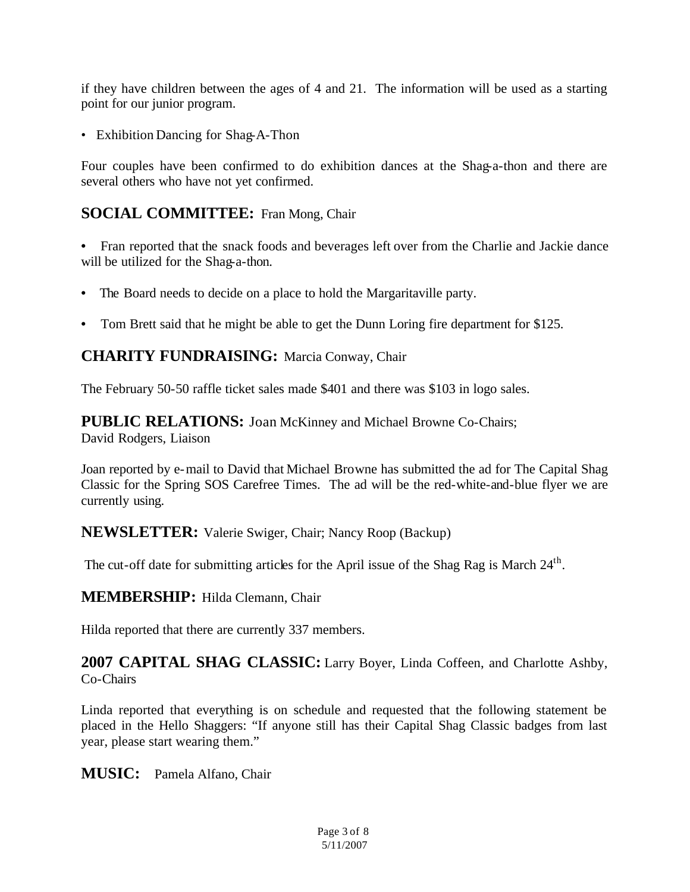if they have children between the ages of 4 and 21. The information will be used as a starting point for our junior program.

• Exhibition Dancing for Shag-A-Thon

Four couples have been confirmed to do exhibition dances at the Shag-a-thon and there are several others who have not yet confirmed.

### **SOCIAL COMMITTEE:** Fran Mong, Chair

**•** Fran reported that the snack foods and beverages left over from the Charlie and Jackie dance will be utilized for the Shag-a-thon.

- The Board needs to decide on a place to hold the Margaritaville party.
- Tom Brett said that he might be able to get the Dunn Loring fire department for \$125.

### **CHARITY FUNDRAISING:** Marcia Conway, Chair

The February 50-50 raffle ticket sales made \$401 and there was \$103 in logo sales.

**PUBLIC RELATIONS:** Joan McKinney and Michael Browne Co-Chairs; David Rodgers, Liaison

Joan reported by e-mail to David that Michael Browne has submitted the ad for The Capital Shag Classic for the Spring SOS Carefree Times. The ad will be the red-white-and-blue flyer we are currently using.

**NEWSLETTER:** Valerie Swiger, Chair; Nancy Roop (Backup)

The cut-off date for submitting articles for the April issue of the Shag Rag is March 24<sup>th</sup>.

#### **MEMBERSHIP:** Hilda Clemann, Chair

Hilda reported that there are currently 337 members.

**2007 CAPITAL SHAG CLASSIC:** Larry Boyer, Linda Coffeen, and Charlotte Ashby, Co-Chairs

Linda reported that everything is on schedule and requested that the following statement be placed in the Hello Shaggers: "If anyone still has their Capital Shag Classic badges from last year, please start wearing them."

**MUSIC:** Pamela Alfano, Chair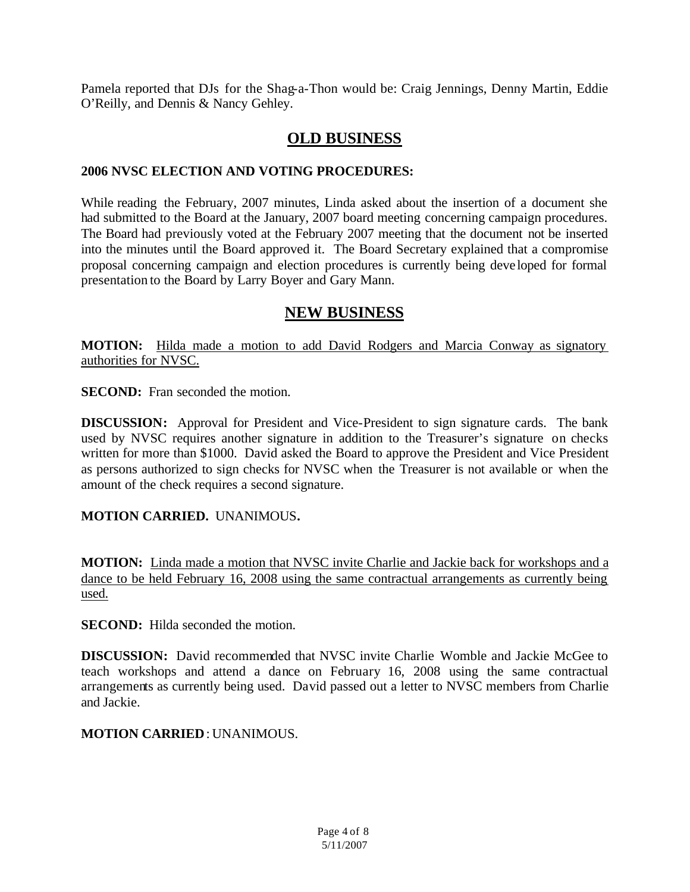Pamela reported that DJs for the Shag-a-Thon would be: Craig Jennings, Denny Martin, Eddie O'Reilly, and Dennis & Nancy Gehley.

## **OLD BUSINESS**

#### **2006 NVSC ELECTION AND VOTING PROCEDURES:**

While reading the February, 2007 minutes, Linda asked about the insertion of a document she had submitted to the Board at the January, 2007 board meeting concerning campaign procedures. The Board had previously voted at the February 2007 meeting that the document not be inserted into the minutes until the Board approved it. The Board Secretary explained that a compromise proposal concerning campaign and election procedures is currently being deve loped for formal presentation to the Board by Larry Boyer and Gary Mann.

## **NEW BUSINESS**

**MOTION:** Hilda made a motion to add David Rodgers and Marcia Conway as signatory authorities for NVSC.

**SECOND:** Fran seconded the motion.

**DISCUSSION:** Approval for President and Vice-President to sign signature cards. The bank used by NVSC requires another signature in addition to the Treasurer's signature on checks written for more than \$1000. David asked the Board to approve the President and Vice President as persons authorized to sign checks for NVSC when the Treasurer is not available or when the amount of the check requires a second signature.

### **MOTION CARRIED.** UNANIMOUS*.*

**MOTION:** Linda made a motion that NVSC invite Charlie and Jackie back for workshops and a dance to be held February 16, 2008 using the same contractual arrangements as currently being used.

**SECOND:** Hilda seconded the motion.

**DISCUSSION:** David recommended that NVSC invite Charlie Womble and Jackie McGee to teach workshops and attend a dance on February 16, 2008 using the same contractual arrangements as currently being used. David passed out a letter to NVSC members from Charlie and Jackie.

**MOTION CARRIED**: UNANIMOUS.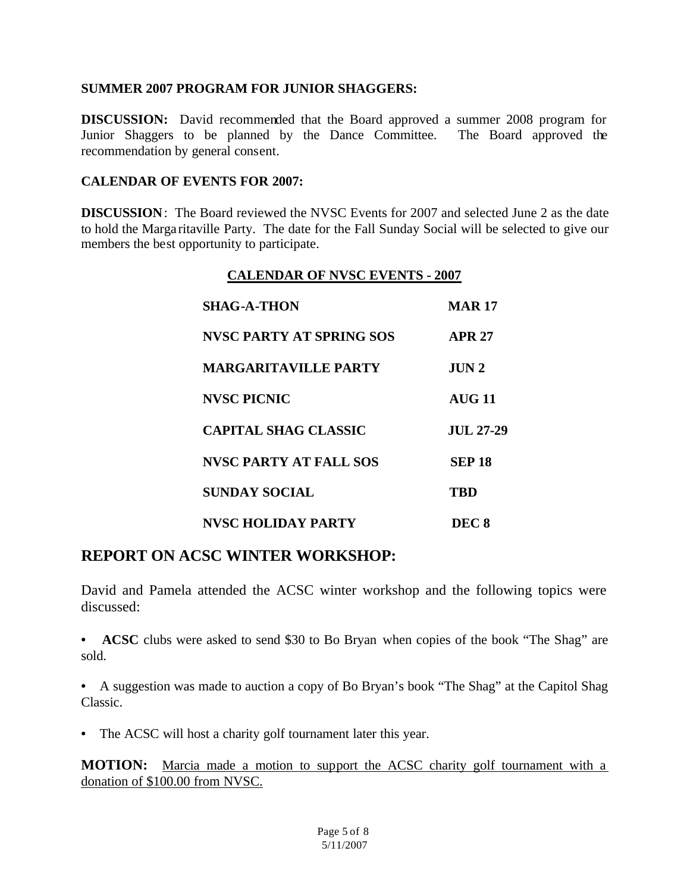#### **SUMMER 2007 PROGRAM FOR JUNIOR SHAGGERS:**

**DISCUSSION:** David recommended that the Board approved a summer 2008 program for Junior Shaggers to be planned by the Dance Committee. The Board approved the recommendation by general consent.

#### **CALENDAR OF EVENTS FOR 2007:**

**DISCUSSION**: The Board reviewed the NVSC Events for 2007 and selected June 2 as the date to hold the Marga ritaville Party. The date for the Fall Sunday Social will be selected to give our members the best opportunity to participate.

#### **CALENDAR OF NVSC EVENTS - 2007**

| <b>SHAG-A-THON</b>              | <b>MAR 17</b>    |
|---------------------------------|------------------|
| <b>NVSC PARTY AT SPRING SOS</b> | <b>APR 27</b>    |
| <b>MARGARITAVILLE PARTY</b>     | JUN <sub>2</sub> |
| <b>NVSC PICNIC</b>              | <b>AUG 11</b>    |
| <b>CAPITAL SHAG CLASSIC</b>     | <b>JUL 27-29</b> |
| <b>NVSC PARTY AT FALL SOS</b>   | <b>SEP 18</b>    |
| <b>SUNDAY SOCIAL</b>            | TBD              |
| <b>NVSC HOLIDAY PARTY</b>       | DEC <sub>8</sub> |

## **REPORT ON ACSC WINTER WORKSHOP:**

David and Pamela attended the ACSC winter workshop and the following topics were discussed:

**• ACSC** clubs were asked to send \$30 to Bo Bryan when copies of the book "The Shag" are sold.

**•** A suggestion was made to auction a copy of Bo Bryan's book "The Shag" at the Capitol Shag Classic.

**•** The ACSC will host a charity golf tournament later this year.

**MOTION:** Marcia made a motion to support the ACSC charity golf tournament with a donation of \$100.00 from NVSC.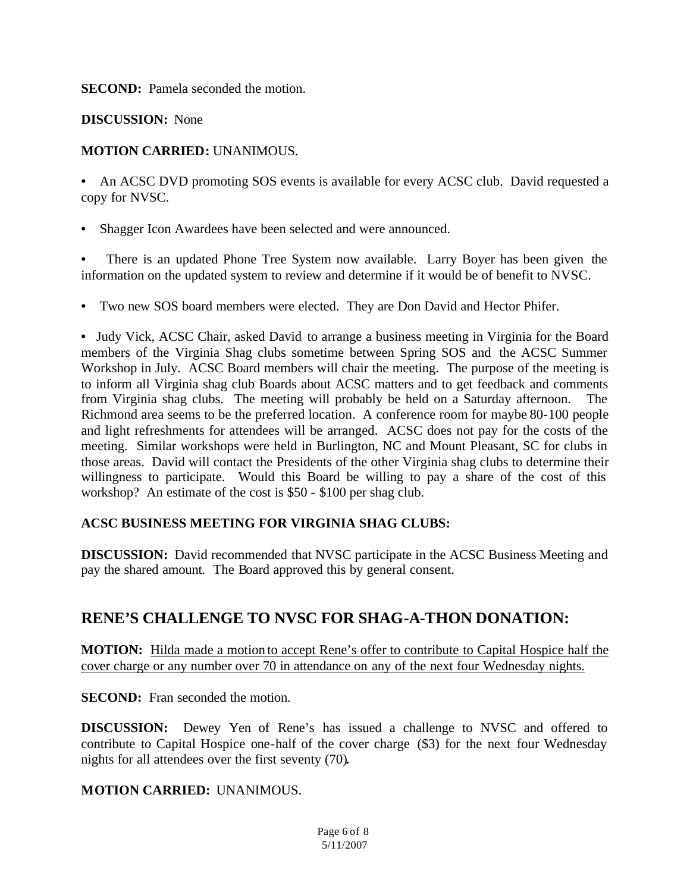**SECOND:** Pamela seconded the motion.

**DISCUSSION:** None

### **MOTION CARRIED:** UNANIMOUS.

• An ACSC DVD promoting SOS events is available for every ACSC club. David requested a copy for NVSC.

**•** Shagger Icon Awardees have been selected and were announced.

There is an updated Phone Tree System now available. Larry Boyer has been given the information on the updated system to review and determine if it would be of benefit to NVSC.

**•** Two new SOS board members were elected. They are Don David and Hector Phifer.

**•** Judy Vick, ACSC Chair, asked David to arrange a business meeting in Virginia for the Board members of the Virginia Shag clubs sometime between Spring SOS and the ACSC Summer Workshop in July. ACSC Board members will chair the meeting. The purpose of the meeting is to inform all Virginia shag club Boards about ACSC matters and to get feedback and comments from Virginia shag clubs. The meeting will probably be held on a Saturday afternoon. The Richmond area seems to be the preferred location. A conference room for maybe 80-100 people and light refreshments for attendees will be arranged. ACSC does not pay for the costs of the meeting. Similar workshops were held in Burlington, NC and Mount Pleasant, SC for clubs in those areas. David will contact the Presidents of the other Virginia shag clubs to determine their willingness to participate. Would this Board be willing to pay a share of the cost of this workshop? An estimate of the cost is \$50 - \$100 per shag club.

### **ACSC BUSINESS MEETING FOR VIRGINIA SHAG CLUBS:**

**DISCUSSION:** David recommended that NVSC participate in the ACSC Business Meeting and pay the shared amount. The Board approved this by general consent.

## **RENE'S CHALLENGE TO NVSC FOR SHAG-A-THON DONATION:**

**MOTION:** Hilda made a motion to accept Rene's offer to contribute to Capital Hospice half the cover charge or any number over 70 in attendance on any of the next four Wednesday nights.

**SECOND:** Fran seconded the motion.

**DISCUSSION:** Dewey Yen of Rene's has issued a challenge to NVSC and offered to contribute to Capital Hospice one-half of the cover charge (\$3) for the next four Wednesday nights for all attendees over the first seventy (70)*.*

### **MOTION CARRIED:** UNANIMOUS.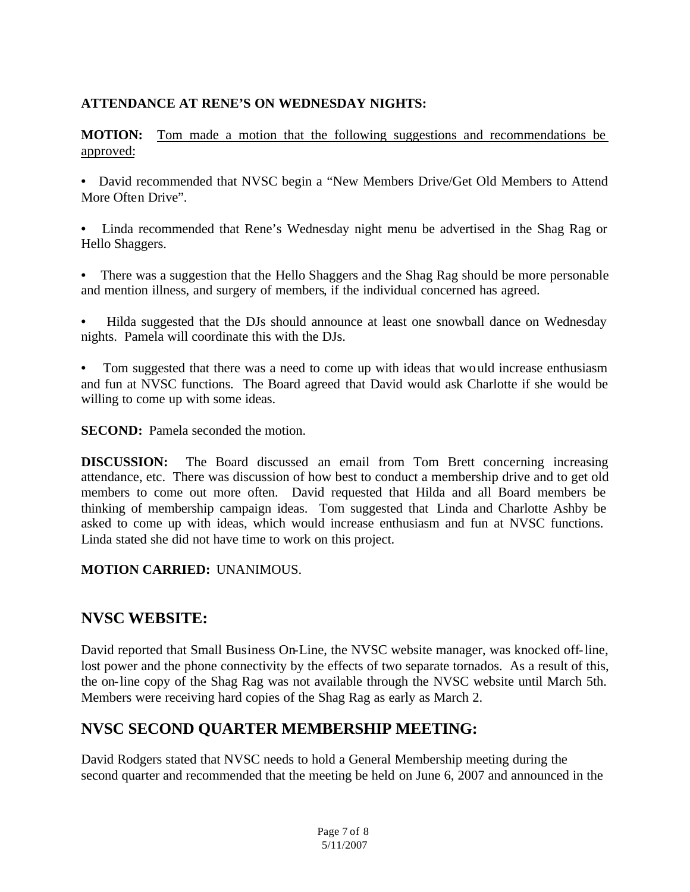### **ATTENDANCE AT RENE'S ON WEDNESDAY NIGHTS:**

**MOTION:** Tom made a motion that the following suggestions and recommendations be approved:

**•** David recommended that NVSC begin a "New Members Drive/Get Old Members to Attend More Often Drive".

**•** Linda recommended that Rene's Wednesday night menu be advertised in the Shag Rag or Hello Shaggers.

- **•** There was a suggestion that the Hello Shaggers and the Shag Rag should be more personable and mention illness, and surgery of members, if the individual concerned has agreed.
- **•** Hilda suggested that the DJs should announce at least one snowball dance on Wednesday nights. Pamela will coordinate this with the DJs.
- Tom suggested that there was a need to come up with ideas that would increase enthusiasm and fun at NVSC functions. The Board agreed that David would ask Charlotte if she would be willing to come up with some ideas.

**SECOND:** Pamela seconded the motion.

**DISCUSSION:** The Board discussed an email from Tom Brett concerning increasing attendance, etc. There was discussion of how best to conduct a membership drive and to get old members to come out more often. David requested that Hilda and all Board members be thinking of membership campaign ideas. Tom suggested that Linda and Charlotte Ashby be asked to come up with ideas, which would increase enthusiasm and fun at NVSC functions. Linda stated she did not have time to work on this project.

#### **MOTION CARRIED:** UNANIMOUS.

## **NVSC WEBSITE:**

David reported that Small Business On-Line, the NVSC website manager, was knocked off-line, lost power and the phone connectivity by the effects of two separate tornados. As a result of this, the on-line copy of the Shag Rag was not available through the NVSC website until March 5th. Members were receiving hard copies of the Shag Rag as early as March 2.

## **NVSC SECOND QUARTER MEMBERSHIP MEETING:**

David Rodgers stated that NVSC needs to hold a General Membership meeting during the second quarter and recommended that the meeting be held on June 6, 2007 and announced in the